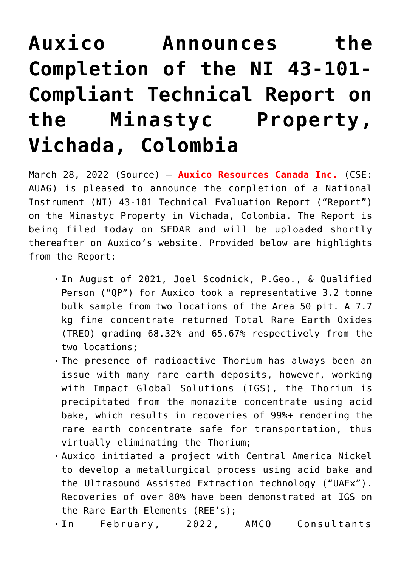## **[Auxico Announces the](https://investorintel.com/markets/technology-metals/technology-metals-news/auxico-announces-the-completion-of-the-ni-43-101-compliant-technical-report-on-the-minastyc-property-vichada-colombia/) [Completion of the NI 43-101-](https://investorintel.com/markets/technology-metals/technology-metals-news/auxico-announces-the-completion-of-the-ni-43-101-compliant-technical-report-on-the-minastyc-property-vichada-colombia/) [Compliant Technical Report on](https://investorintel.com/markets/technology-metals/technology-metals-news/auxico-announces-the-completion-of-the-ni-43-101-compliant-technical-report-on-the-minastyc-property-vichada-colombia/) [the Minastyc Property,](https://investorintel.com/markets/technology-metals/technology-metals-news/auxico-announces-the-completion-of-the-ni-43-101-compliant-technical-report-on-the-minastyc-property-vichada-colombia/) [Vichada, Colombia](https://investorintel.com/markets/technology-metals/technology-metals-news/auxico-announces-the-completion-of-the-ni-43-101-compliant-technical-report-on-the-minastyc-property-vichada-colombia/)**

March 28, 2022 ([Source](https://www.newswire.ca/news-releases/auxico-announces-the-completion-of-the-ni-43-101-compliant-technical-report-on-the-minastyc-property-vichada-colombia-879245214.html)) — **Auxico Resources Canada Inc.** (CSE: AUAG) is pleased to announce the completion of a National Instrument (NI) 43-101 Technical Evaluation Report ("Report") on the Minastyc Property in Vichada, Colombia. The Report is being filed today on SEDAR and will be uploaded shortly thereafter on Auxico's website. Provided below are highlights from the Report:

- In August of 2021, Joel Scodnick, P.Geo., & Qualified Person ("QP") for Auxico took a representative 3.2 tonne bulk sample from two locations of the Area 50 pit. A 7.7 kg fine concentrate returned Total Rare Earth Oxides (TREO) grading 68.32% and 65.67% respectively from the two locations;
- The presence of radioactive Thorium has always been an issue with many rare earth deposits, however, working with Impact Global Solutions (IGS), the Thorium is precipitated from the monazite concentrate using acid bake, which results in recoveries of 99%+ rendering the rare earth concentrate safe for transportation, thus virtually eliminating the Thorium;
- Auxico initiated a project with Central America Nickel to develop a metallurgical process using acid bake and the Ultrasound Assisted Extraction technology ("UAEx"). Recoveries of over 80% have been demonstrated at IGS on the Rare Earth Elements (REE's);
- In February, 2022, AMCO Consultants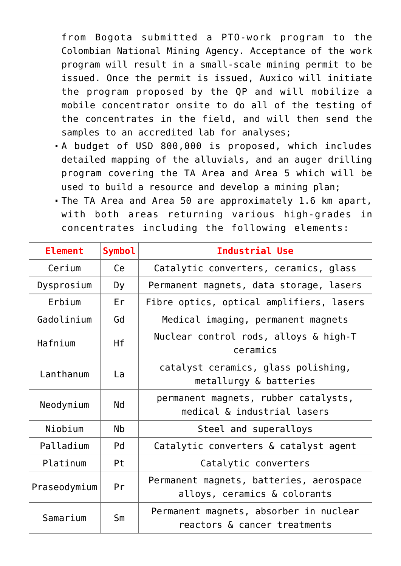from Bogota submitted a PTO-work program to the Colombian National Mining Agency. Acceptance of the work program will result in a small-scale mining permit to be issued. Once the permit is issued, Auxico will initiate the program proposed by the QP and will mobilize a mobile concentrator onsite to do all of the testing of the concentrates in the field, and will then send the samples to an accredited lab for analyses;

- A budget of USD 800,000 is proposed, which includes detailed mapping of the alluvials, and an auger drilling program covering the TA Area and Area 5 which will be used to build a resource and develop a mining plan;
- The TA Area and Area 50 are approximately 1.6 km apart, with both areas returning various high-grades in concentrates including the following elements:

| <b>Element</b> | <b>Symbol</b>        | Industrial Use                                                          |
|----------------|----------------------|-------------------------------------------------------------------------|
| Cerium         | Ce                   | Catalytic converters, ceramics, glass                                   |
| Dysprosium     | Dy                   | Permanent magnets, data storage, lasers                                 |
| Erbium         | Er                   | Fibre optics, optical amplifiers, lasers                                |
| Gadolinium     | Gd                   | Medical imaging, permanent magnets                                      |
| Hafnium        | Hf                   | Nuclear control rods, alloys & high-T<br>ceramics                       |
| Lanthanum      | La                   | catalyst ceramics, glass polishing,<br>metallurgy & batteries           |
| Neodymium      | Nd                   | permanent magnets, rubber catalysts,<br>medical & industrial lasers     |
| Niobium        | <b>N<sub>b</sub></b> | Steel and superalloys                                                   |
| Palladium      | P <sub>d</sub>       | Catalytic converters & catalyst agent                                   |
| Platinum       | Pt                   | Catalytic converters                                                    |
| Praseodymium   | Pr                   | Permanent magnets, batteries, aerospace<br>alloys, ceramics & colorants |
| Samarium       | Sm                   | Permanent magnets, absorber in nuclear<br>reactors & cancer treatments  |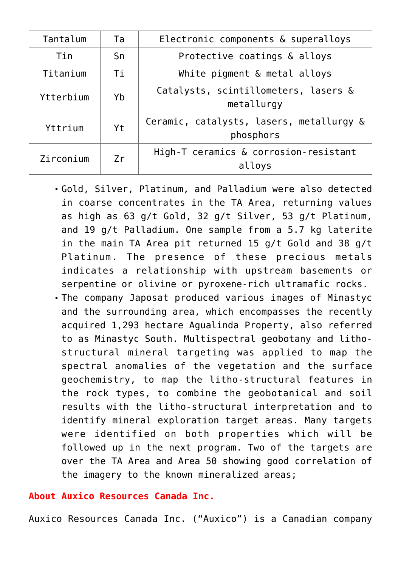| Tantalum  | Ta | Electronic components & superalloys                   |
|-----------|----|-------------------------------------------------------|
| Tin       | Sn | Protective coatings & alloys                          |
| Titanium  | Тi | White pigment & metal alloys                          |
| Ytterbium | Yb | Catalysts, scintillometers, lasers &<br>metallurgy    |
| Yttrium   | Yt | Ceramic, catalysts, lasers, metallurgy &<br>phosphors |
| Zirconium | Zr | High-T ceramics & corrosion-resistant<br>alloys       |

- Gold, Silver, Platinum, and Palladium were also detected in coarse concentrates in the TA Area, returning values as high as 63 g/t Gold, 32 g/t Silver, 53 g/t Platinum, and 19 g/t Palladium. One sample from a 5.7 kg laterite in the main TA Area pit returned 15 g/t Gold and 38 g/t Platinum. The presence of these precious metals indicates a relationship with upstream basements or serpentine or olivine or pyroxene-rich ultramafic rocks.
- The company Japosat produced various images of Minastyc and the surrounding area, which encompasses the recently acquired 1,293 hectare Agualinda Property, also referred to as Minastyc South. Multispectral geobotany and lithostructural mineral targeting was applied to map the spectral anomalies of the vegetation and the surface geochemistry, to map the litho-structural features in the rock types, to combine the geobotanical and soil results with the litho-structural interpretation and to identify mineral exploration target areas. Many targets were identified on both properties which will be followed up in the next program. Two of the targets are over the TA Area and Area 50 showing good correlation of the imagery to the known mineralized areas;

## **About Auxico Resources Canada Inc.**

Auxico Resources Canada Inc. ("Auxico") is a Canadian company